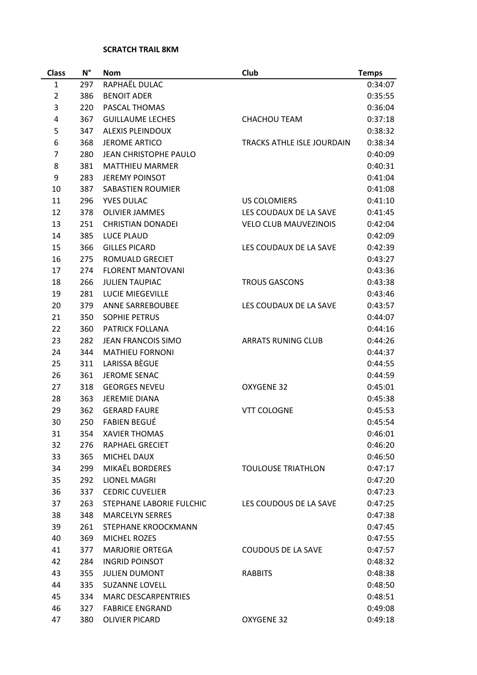## **SCRATCH TRAIL 8KM**

| <b>Class</b>   | $N^{\circ}$ | <b>Nom</b>                 | Club                         | <b>Temps</b>       |
|----------------|-------------|----------------------------|------------------------------|--------------------|
| 1              | 297         | RAPHAËL DULAC              |                              | 0:34:07            |
| $\overline{2}$ | 386         | <b>BENOIT ADER</b>         |                              | 0:35:55            |
| 3              | 220         | PASCAL THOMAS              |                              | 0:36:04            |
| 4              | 367         | <b>GUILLAUME LECHES</b>    | <b>CHACHOU TEAM</b>          | 0:37:18            |
| 5              | 347         | <b>ALEXIS PLEINDOUX</b>    |                              | 0:38:32            |
| 6              | 368         | <b>JEROME ARTICO</b>       | TRACKS ATHLE ISLE JOURDAIN   | 0:38:34            |
| $\overline{7}$ | 280         | JEAN CHRISTOPHE PAULO      |                              | 0:40:09            |
| 8              | 381         | <b>MATTHIEU MARMER</b>     |                              | 0:40:31            |
| 9              | 283         | <b>JEREMY POINSOT</b>      |                              | 0:41:04            |
| 10             | 387         | <b>SABASTIEN ROUMIER</b>   |                              | 0:41:08            |
| 11             | 296         | <b>YVES DULAC</b>          | <b>US COLOMIERS</b>          | 0:41:10            |
| 12             | 378         | <b>OLIVIER JAMMES</b>      | LES COUDAUX DE LA SAVE       | 0:41:45            |
| 13             | 251         | <b>CHRISTIAN DONADEI</b>   | <b>VELO CLUB MAUVEZINOIS</b> | 0:42:04            |
| 14             | 385         | <b>LUCE PLAUD</b>          |                              | 0:42:09            |
| 15             | 366         | <b>GILLES PICARD</b>       | LES COUDAUX DE LA SAVE       | 0:42:39            |
| 16             | 275         | ROMUALD GRECIET            |                              | 0:43:27            |
| 17             | 274         | <b>FLORENT MANTOVANI</b>   |                              | 0:43:36            |
| 18             | 266         | <b>JULIEN TAUPIAC</b>      | <b>TROUS GASCONS</b>         | 0:43:38            |
| 19             | 281         | <b>LUCIE MIEGEVILLE</b>    |                              | 0:43:46            |
| 20             | 379         | ANNE SARREBOUBEE           | LES COUDAUX DE LA SAVE       | 0:43:57            |
| 21             | 350         | <b>SOPHIE PETRUS</b>       |                              | 0:44:07            |
| 22             | 360         | PATRICK FOLLANA            |                              | 0:44:16            |
| 23             | 282         | <b>JEAN FRANCOIS SIMO</b>  | <b>ARRATS RUNING CLUB</b>    | 0:44:26            |
| 24             | 344         | <b>MATHIEU FORNONI</b>     |                              | 0:44:37            |
| 25             | 311         | LARISSA BÈGUE              |                              | 0:44:55            |
| 26             | 361         | <b>JEROME SENAC</b>        |                              | 0:44:59            |
| 27             | 318         | <b>GEORGES NEVEU</b>       | OXYGENE 32                   | 0:45:01            |
| 28             | 363         | <b>JEREMIE DIANA</b>       |                              | 0:45:38            |
| 29             | 362         | <b>GERARD FAURE</b>        | <b>VTT COLOGNE</b>           | 0:45:53            |
| 30             | 250         | <b>FABIEN BEGUÉ</b>        |                              | 0:45:54            |
| 31             | 354         | <b>XAVIER THOMAS</b>       |                              | 0:46:01            |
| 32             | 276         | <b>RAPHAEL GRECIET</b>     |                              | 0:46:20            |
| 33             | 365         | MICHEL DAUX                |                              | 0:46:50            |
| 34             | 299         | MIKAËL BORDERES            | <b>TOULOUSE TRIATHLON</b>    | 0:47:17            |
| 35             | 292         | LIONEL MAGRI               |                              | 0:47:20            |
| 36             | 337         | <b>CEDRIC CUVELIER</b>     |                              | 0:47:23            |
| 37             | 263         | STEPHANE LABORIE FULCHIC   | LES COUDOUS DE LA SAVE       | 0:47:25            |
| 38             | 348         | <b>MARCELYN SERRES</b>     |                              | 0:47:38            |
| 39             | 261         | STEPHANE KROOCKMANN        |                              | 0:47:45            |
| 40             | 369         | <b>MICHEL ROZES</b>        |                              | 0:47:55            |
| 41             | 377         | <b>MARJORIE ORTEGA</b>     | <b>COUDOUS DE LA SAVE</b>    | 0:47:57            |
| 42             | 284         | <b>INGRID POINSOT</b>      |                              |                    |
| 43             | 355         | <b>JULIEN DUMONT</b>       | <b>RABBITS</b>               | 0:48:32<br>0:48:38 |
| 44             | 335         | <b>SUZANNE LOVELL</b>      |                              | 0:48:50            |
|                |             |                            |                              |                    |
| 45             | 334         | <b>MARC DESCARPENTRIES</b> |                              | 0:48:51            |
| 46             | 327         | <b>FABRICE ENGRAND</b>     |                              | 0:49:08            |
| 47             | 380         | <b>OLIVIER PICARD</b>      | OXYGENE 32                   | 0:49:18            |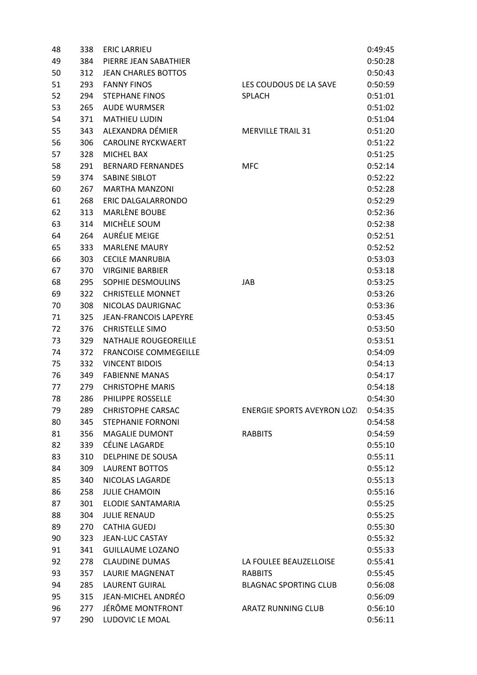| 48 | 338 | <b>ERIC LARRIEU</b>          |                                   | 0:49:45 |
|----|-----|------------------------------|-----------------------------------|---------|
| 49 | 384 | PIERRE JEAN SABATHIER        |                                   | 0:50:28 |
| 50 | 312 | <b>JEAN CHARLES BOTTOS</b>   |                                   | 0:50:43 |
| 51 | 293 | <b>FANNY FINOS</b>           | LES COUDOUS DE LA SAVE            | 0:50:59 |
| 52 | 294 | <b>STEPHANE FINOS</b>        | <b>SPLACH</b>                     | 0:51:01 |
| 53 | 265 | <b>AUDE WURMSER</b>          |                                   | 0:51:02 |
| 54 | 371 | <b>MATHIEU LUDIN</b>         |                                   | 0:51:04 |
| 55 | 343 | ALEXANDRA DÉMIER             | <b>MERVILLE TRAIL 31</b>          | 0:51:20 |
| 56 | 306 | <b>CAROLINE RYCKWAERT</b>    |                                   | 0:51:22 |
| 57 | 328 | <b>MICHEL BAX</b>            |                                   | 0:51:25 |
| 58 | 291 | <b>BERNARD FERNANDES</b>     | <b>MFC</b>                        | 0:52:14 |
| 59 | 374 | <b>SABINE SIBLOT</b>         |                                   | 0:52:22 |
| 60 | 267 | <b>MARTHA MANZONI</b>        |                                   | 0:52:28 |
| 61 | 268 | ERIC DALGALARRONDO           |                                   | 0:52:29 |
| 62 | 313 | MARLÈNE BOUBE                |                                   | 0:52:36 |
| 63 | 314 | MICHÈLE SOUM                 |                                   | 0:52:38 |
| 64 | 264 | <b>AURÉLIE MEIGE</b>         |                                   | 0:52:51 |
| 65 | 333 | <b>MARLENE MAURY</b>         |                                   | 0:52:52 |
| 66 | 303 | <b>CECILE MANRUBIA</b>       |                                   | 0:53:03 |
| 67 | 370 | <b>VIRGINIE BARBIER</b>      |                                   | 0:53:18 |
| 68 | 295 | SOPHIE DESMOULINS            | JAB                               | 0:53:25 |
| 69 | 322 | <b>CHRISTELLE MONNET</b>     |                                   | 0:53:26 |
| 70 | 308 | NICOLAS DAURIGNAC            |                                   | 0:53:36 |
| 71 | 325 | <b>JEAN-FRANCOIS LAPEYRE</b> |                                   | 0:53:45 |
| 72 | 376 | <b>CHRISTELLE SIMO</b>       |                                   | 0:53:50 |
| 73 | 329 | <b>NATHALIE ROUGEOREILLE</b> |                                   | 0:53:51 |
| 74 | 372 | <b>FRANCOISE COMMEGEILLE</b> |                                   | 0:54:09 |
| 75 | 332 | <b>VINCENT BIDOIS</b>        |                                   | 0:54:13 |
| 76 | 349 | <b>FABIENNE MANAS</b>        |                                   | 0:54:17 |
| 77 | 279 | <b>CHRISTOPHE MARIS</b>      |                                   | 0:54:18 |
| 78 | 286 | PHILIPPE ROSSELLE            |                                   | 0:54:30 |
| 79 | 289 | <b>CHRISTOPHE CARSAC</b>     | <b>ENERGIE SPORTS AVEYRON LOZ</b> | 0:54:35 |
| 80 | 345 | <b>STEPHANIE FORNONI</b>     |                                   | 0:54:58 |
| 81 | 356 | <b>MAGALIE DUMONT</b>        | <b>RABBITS</b>                    | 0:54:59 |
| 82 | 339 | CÉLINE LAGARDE               |                                   | 0:55:10 |
| 83 | 310 | DELPHINE DE SOUSA            |                                   | 0:55:11 |
| 84 | 309 | <b>LAURENT BOTTOS</b>        |                                   | 0:55:12 |
| 85 | 340 | NICOLAS LAGARDE              |                                   | 0:55:13 |
| 86 | 258 | <b>JULIE CHAMOIN</b>         |                                   | 0:55:16 |
| 87 | 301 | <b>ELODIE SANTAMARIA</b>     |                                   | 0:55:25 |
| 88 | 304 | <b>JULIE RENAUD</b>          |                                   | 0:55:25 |
| 89 | 270 | <b>CATHIA GUEDJ</b>          |                                   | 0:55:30 |
| 90 | 323 | <b>JEAN-LUC CASTAY</b>       |                                   | 0:55:32 |
| 91 | 341 | <b>GUILLAUME LOZANO</b>      |                                   | 0:55:33 |
| 92 | 278 | <b>CLAUDINE DUMAS</b>        | LA FOULEE BEAUZELLOISE            | 0:55:41 |
| 93 | 357 | <b>LAURIE MAGNENAT</b>       | <b>RABBITS</b>                    | 0:55:45 |
| 94 | 285 | <b>LAURENT GUIRAL</b>        | <b>BLAGNAC SPORTING CLUB</b>      | 0:56:08 |
| 95 | 315 | JEAN-MICHEL ANDRÉO           |                                   | 0:56:09 |
| 96 | 277 | JÉRÔME MONTFRONT             | ARATZ RUNNING CLUB                | 0:56:10 |
| 97 | 290 | LUDOVIC LE MOAL              |                                   | 0:56:11 |